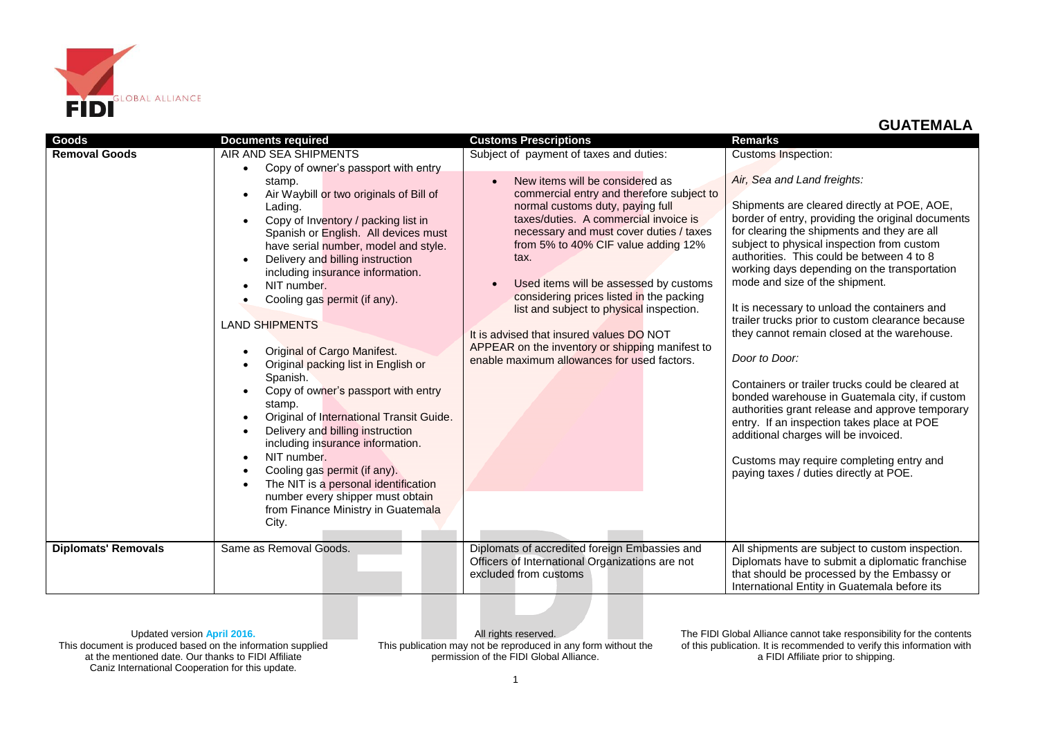

| Goods<br><b>Removal Goods</b> | <b>Documents required</b><br>AIR AND SEA SHIPMENTS<br>Copy of owner's passport with entry<br>stamp.<br>Air Waybill or two originals of Bill of<br>Lading.<br>Copy of Inventory / packing list in<br>Spanish or English. All devices must<br>have serial number, model and style.<br>Delivery and billing instruction<br>including insurance information.<br>NIT number.<br>Cooling gas permit (if any).<br><b>LAND SHIPMENTS</b><br>Original of Cargo Manifest.<br>Original packing list in English or<br>Spanish. | <b>Customs Prescriptions</b><br>Subject of payment of taxes and duties:<br>New items will be considered as<br>commercial entry and therefore subject to<br>normal customs duty, paying full<br>taxes/duties. A commercial invoice is<br>necessary and must cover duties / taxes<br>from 5% to 40% CIF value adding 12%<br>tax.<br>Used items will be assessed by customs<br>considering prices listed in the packing<br>list and subject to physical inspection.<br>It is advised that insured values DO NOT<br>APPEAR on the inventory or shipping manifest to<br>enable maximum allowances for used factors. | <b>Remarks</b><br><b>Customs Inspection:</b><br>Air, Sea and Land freights:<br>Shipments are cleared directly at POE, AOE,<br>border of entry, providing the original documents<br>for clearing the shipments and they are all<br>subject to physical inspection from custom<br>authorities. This could be between 4 to 8<br>working days depending on the transportation<br>mode and size of the shipment.<br>It is necessary to unload the containers and<br>trailer trucks prior to custom clearance because<br>they cannot remain closed at the warehouse.<br>Door to Door:<br>Containers or trailer trucks could be cleared at |
|-------------------------------|--------------------------------------------------------------------------------------------------------------------------------------------------------------------------------------------------------------------------------------------------------------------------------------------------------------------------------------------------------------------------------------------------------------------------------------------------------------------------------------------------------------------|----------------------------------------------------------------------------------------------------------------------------------------------------------------------------------------------------------------------------------------------------------------------------------------------------------------------------------------------------------------------------------------------------------------------------------------------------------------------------------------------------------------------------------------------------------------------------------------------------------------|-------------------------------------------------------------------------------------------------------------------------------------------------------------------------------------------------------------------------------------------------------------------------------------------------------------------------------------------------------------------------------------------------------------------------------------------------------------------------------------------------------------------------------------------------------------------------------------------------------------------------------------|
|                               | stamp.<br>Original of International Transit Guide.<br>Delivery and billing instruction<br>including insurance information.<br>NIT number.<br>Cooling gas permit (if any).<br>The NIT is a personal identification<br>number every shipper must obtain<br>from Finance Ministry in Guatemala<br>City.                                                                                                                                                                                                               |                                                                                                                                                                                                                                                                                                                                                                                                                                                                                                                                                                                                                | authorities grant release and approve temporary<br>entry. If an inspection takes place at POE<br>additional charges will be invoiced.<br>Customs may require completing entry and<br>paying taxes / duties directly at POE.                                                                                                                                                                                                                                                                                                                                                                                                         |
| <b>Diplomats' Removals</b>    | Same as Removal Goods.                                                                                                                                                                                                                                                                                                                                                                                                                                                                                             | Diplomats of accredited foreign Embassies and<br>Officers of International Organizations are not<br>excluded from customs                                                                                                                                                                                                                                                                                                                                                                                                                                                                                      | All shipments are subject to custom inspection.<br>Diplomats have to submit a diplomatic franchise<br>that should be processed by the Embassy or<br>International Entity in Guatemala before its                                                                                                                                                                                                                                                                                                                                                                                                                                    |

Updated version **April 2016.**

This document is produced based on the information supplied at the mentioned date. Our thanks to FIDI Affiliate Caniz International Cooperation for this update.

All rights reserved. This publication may not be reproduced in any form without the permission of the FIDI Global Alliance.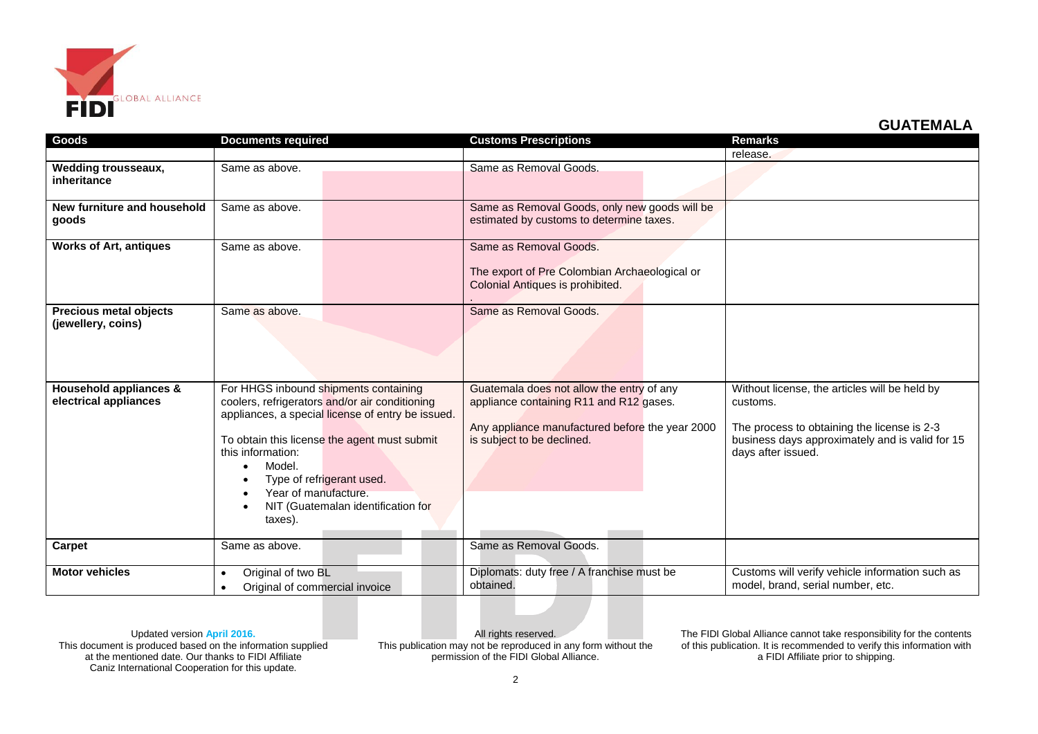

| Goods                                               | <b>Documents required</b>                                                                                                                                                                                                                                                                                                         | <b>Customs Prescriptions</b>                                                                                                                                          | <b>Remarks</b>                                                                                                                                                                    |
|-----------------------------------------------------|-----------------------------------------------------------------------------------------------------------------------------------------------------------------------------------------------------------------------------------------------------------------------------------------------------------------------------------|-----------------------------------------------------------------------------------------------------------------------------------------------------------------------|-----------------------------------------------------------------------------------------------------------------------------------------------------------------------------------|
|                                                     |                                                                                                                                                                                                                                                                                                                                   |                                                                                                                                                                       | release.                                                                                                                                                                          |
| <b>Wedding trousseaux,</b><br>inheritance           | Same as above.                                                                                                                                                                                                                                                                                                                    | Same as Removal Goods.                                                                                                                                                |                                                                                                                                                                                   |
| New furniture and household<br>qoods                | Same as above.                                                                                                                                                                                                                                                                                                                    | Same as Removal Goods, only new goods will be<br>estimated by customs to determine taxes.                                                                             |                                                                                                                                                                                   |
| <b>Works of Art, antiques</b>                       | Same as above.                                                                                                                                                                                                                                                                                                                    | Same as Removal Goods.<br>The export of Pre Colombian Archaeological or<br>Colonial Antiques is prohibited.                                                           |                                                                                                                                                                                   |
| <b>Precious metal objects</b><br>(jewellery, coins) | Same as above.                                                                                                                                                                                                                                                                                                                    | Same as Removal Goods.                                                                                                                                                |                                                                                                                                                                                   |
| Household appliances &<br>electrical appliances     | For HHGS inbound shipments containing<br>coolers, refrigerators and/or air conditioning<br>appliances, a special license of entry be issued.<br>To obtain this license the agent must submit<br>this information:<br>Model.<br>Type of refrigerant used.<br>Year of manufacture.<br>NIT (Guatemalan identification for<br>taxes). | Guatemala does not allow the entry of any<br>appliance containing R11 and R12 gases.<br>Any appliance manufactured before the year 2000<br>is subject to be declined. | Without license, the articles will be held by<br>customs.<br>The process to obtaining the license is 2-3<br>business days approximately and is valid for 15<br>days after issued. |
| Carpet                                              | Same as above.                                                                                                                                                                                                                                                                                                                    | Same as Removal Goods.                                                                                                                                                |                                                                                                                                                                                   |
| <b>Motor vehicles</b>                               | Original of two BL<br>Original of commercial invoice                                                                                                                                                                                                                                                                              | Diplomats: duty free / A franchise must be<br>obtained.                                                                                                               | Customs will verify vehicle information such as<br>model, brand, serial number, etc.                                                                                              |

Updated version **April 2016.**

This document is produced based on the information supplied at the mentioned date. Our thanks to FIDI Affiliate Caniz International Cooperation for this update.

All rights reserved. This publication may not be reproduced in any form without the permission of the FIDI Global Alliance.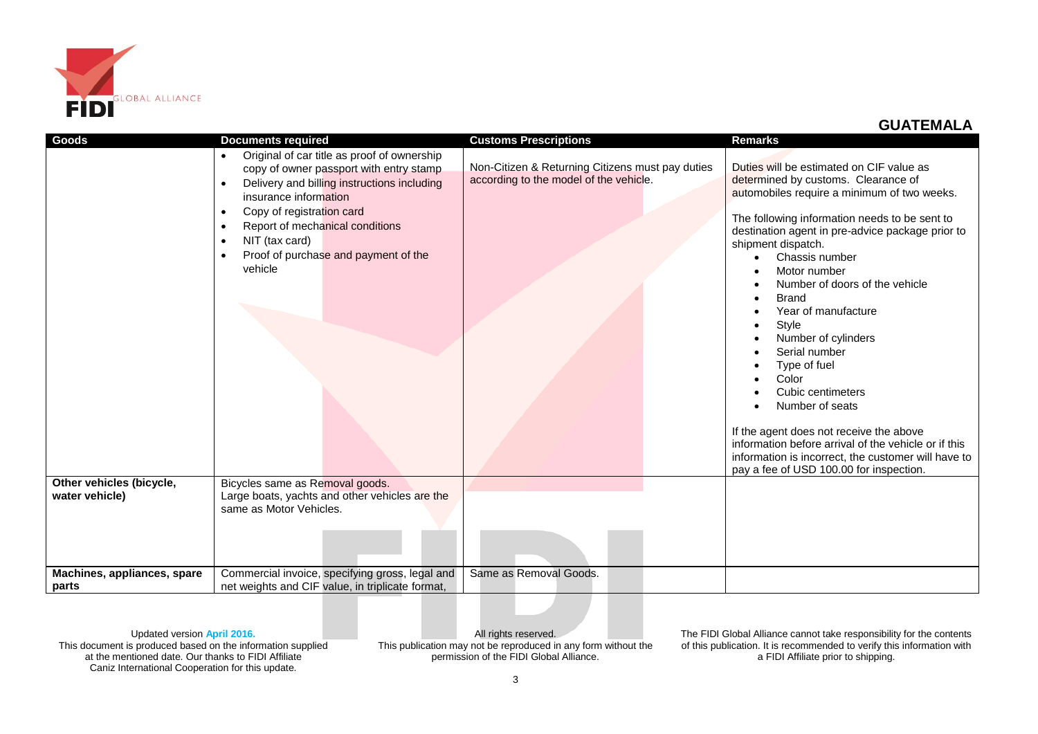

| Goods                                      | <b>Documents required</b>                                                                                                                                                                                                                                                                                        | <b>Customs Prescriptions</b>                                                               | <b>Remarks</b>                                                                                                                                                                                                                                                                                                                                                                                                                                                                                                                                                                                                                                                                                                        |
|--------------------------------------------|------------------------------------------------------------------------------------------------------------------------------------------------------------------------------------------------------------------------------------------------------------------------------------------------------------------|--------------------------------------------------------------------------------------------|-----------------------------------------------------------------------------------------------------------------------------------------------------------------------------------------------------------------------------------------------------------------------------------------------------------------------------------------------------------------------------------------------------------------------------------------------------------------------------------------------------------------------------------------------------------------------------------------------------------------------------------------------------------------------------------------------------------------------|
|                                            | Original of car title as proof of ownership<br>$\bullet$<br>copy of owner passport with entry stamp<br>Delivery and billing instructions including<br>insurance information<br>Copy of registration card<br>Report of mechanical conditions<br>NIT (tax card)<br>Proof of purchase and payment of the<br>vehicle | Non-Citizen & Returning Citizens must pay duties<br>according to the model of the vehicle. | Duties will be estimated on CIF value as<br>determined by customs. Clearance of<br>automobiles require a minimum of two weeks.<br>The following information needs to be sent to<br>destination agent in pre-advice package prior to<br>shipment dispatch.<br>Chassis number<br>Motor number<br>Number of doors of the vehicle<br><b>Brand</b><br>$\bullet$<br>Year of manufacture<br>Style<br>$\bullet$<br>Number of cylinders<br>Serial number<br>Type of fuel<br>Color<br>Cubic centimeters<br>Number of seats<br>If the agent does not receive the above<br>information before arrival of the vehicle or if this<br>information is incorrect, the customer will have to<br>pay a fee of USD 100.00 for inspection. |
| Other vehicles (bicycle,<br>water vehicle) | Bicycles same as Removal goods.<br>Large boats, yachts and other vehicles are the<br>same as Motor Vehicles.                                                                                                                                                                                                     |                                                                                            |                                                                                                                                                                                                                                                                                                                                                                                                                                                                                                                                                                                                                                                                                                                       |
| Machines, appliances, spare<br>parts       | Commercial invoice, specifying gross, legal and<br>net weights and CIF value, in triplicate format,                                                                                                                                                                                                              | Same as Removal Goods.                                                                     |                                                                                                                                                                                                                                                                                                                                                                                                                                                                                                                                                                                                                                                                                                                       |

Updated version **April 2016.**

This document is produced based on the information supplied at the mentioned date. Our thanks to FIDI Affiliate Caniz International Cooperation for this update.

All rights reserved. This publication may not be reproduced in any form without the permission of the FIDI Global Alliance.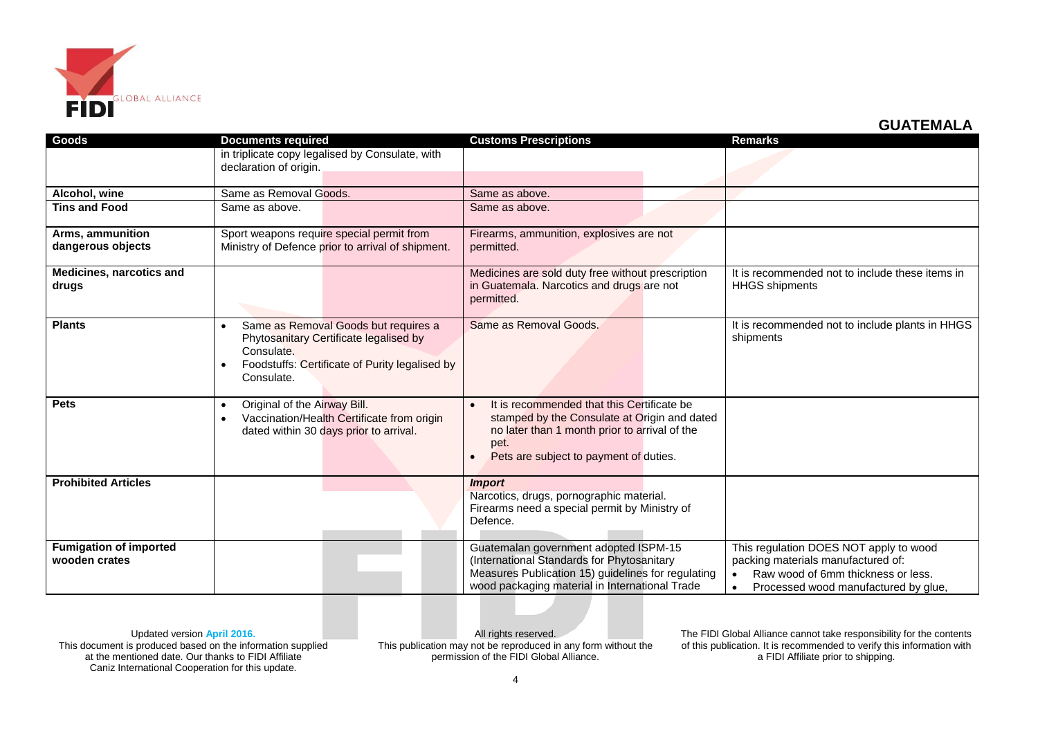

| Goods                                          | <b>Documents required</b>                                                                                                                                    | <b>Customs Prescriptions</b>                                                                                                                                                                  | <b>Remarks</b>                                                                                                                                             |
|------------------------------------------------|--------------------------------------------------------------------------------------------------------------------------------------------------------------|-----------------------------------------------------------------------------------------------------------------------------------------------------------------------------------------------|------------------------------------------------------------------------------------------------------------------------------------------------------------|
|                                                | in triplicate copy legalised by Consulate, with<br>declaration of origin.                                                                                    |                                                                                                                                                                                               |                                                                                                                                                            |
| Alcohol, wine                                  | Same as Removal Goods.                                                                                                                                       | Same as above.                                                                                                                                                                                |                                                                                                                                                            |
| <b>Tins and Food</b>                           | Same as above.                                                                                                                                               | Same as above.                                                                                                                                                                                |                                                                                                                                                            |
| Arms, ammunition<br>dangerous objects          | Sport weapons require special permit from<br>Ministry of Defence prior to arrival of shipment.                                                               | Firearms, ammunition, explosives are not<br>permitted.                                                                                                                                        |                                                                                                                                                            |
| Medicines, narcotics and<br>drugs              |                                                                                                                                                              | Medicines are sold duty free without prescription<br>in Guatemala. Narcotics and drugs are not<br>permitted.                                                                                  | It is recommended not to include these items in<br><b>HHGS</b> shipments                                                                                   |
| <b>Plants</b>                                  | Same as Removal Goods but requires a<br>Phytosanitary Certificate legalised by<br>Consulate.<br>Foodstuffs: Certificate of Purity legalised by<br>Consulate. | Same as Removal Goods.                                                                                                                                                                        | It is recommended not to include plants in HHGS<br>shipments                                                                                               |
| <b>Pets</b>                                    | Original of the Airway Bill.<br>$\bullet$<br>Vaccination/Health Certificate from origin<br>dated within 30 days prior to arrival.                            | It is recommended that this Certificate be<br>stamped by the Consulate at Origin and dated<br>no later than 1 month prior to arrival of the<br>pet.<br>Pets are subject to payment of duties. |                                                                                                                                                            |
| <b>Prohibited Articles</b>                     |                                                                                                                                                              | <i><b>Import</b></i><br>Narcotics, drugs, pornographic material.<br>Firearms need a special permit by Ministry of<br>Defence.                                                                 |                                                                                                                                                            |
| <b>Fumigation of imported</b><br>wooden crates |                                                                                                                                                              | Guatemalan government adopted ISPM-15<br>(International Standards for Phytosanitary<br>Measures Publication 15) guidelines for regulating<br>wood packaging material in International Trade   | This regulation DOES NOT apply to wood<br>packing materials manufactured of:<br>Raw wood of 6mm thickness or less.<br>Processed wood manufactured by glue, |

Updated version **April 2016.**

This document is produced based on the information supplied at the mentioned date. Our thanks to FIDI Affiliate Caniz International Cooperation for this update.

All rights reserved. This publication may not be reproduced in any form without the permission of the FIDI Global Alliance.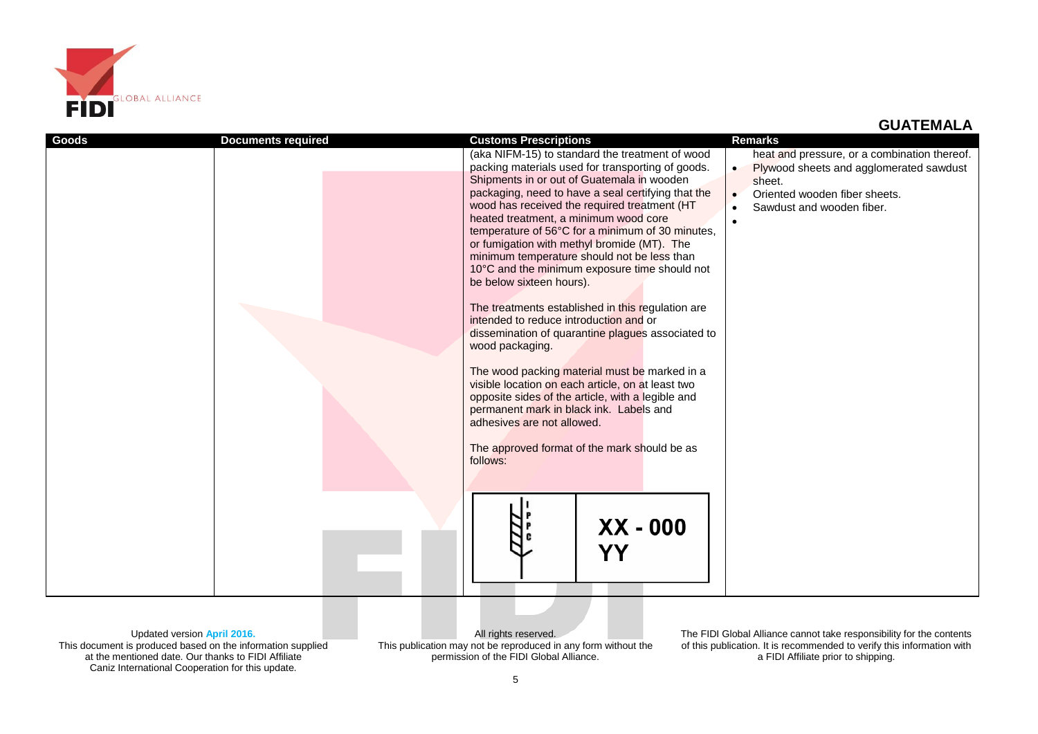

| Goods | <b>Documents required</b> | <b>Customs Prescriptions</b>                             | <b>Remarks</b>                               |
|-------|---------------------------|----------------------------------------------------------|----------------------------------------------|
|       |                           | (aka NIFM-15) to standard the treatment of wood          | heat and pressure, or a combination thereof. |
|       |                           | packing materials used for transporting of goods.        | Plywood sheets and agglomerated sawdust      |
|       |                           | Shipments in or out of Guatemala in wooden               | sheet.                                       |
|       |                           | packaging, need to have a seal certifying that the       | Oriented wooden fiber sheets.<br>$\bullet$   |
|       |                           | wood has received the required treatment (HT             | Sawdust and wooden fiber.                    |
|       |                           | heated treatment, a minimum wood core                    | $\bullet$                                    |
|       |                           | temperature of 56°C for a minimum of 30 minutes,         |                                              |
|       |                           | or fumigation with methyl bromide (MT). The              |                                              |
|       |                           | minimum temperature should not be less than              |                                              |
|       |                           | 10°C and the minimum exposure time should not            |                                              |
|       |                           | be below sixteen hours).                                 |                                              |
|       |                           | The treatments established in this regulation are        |                                              |
|       |                           | intended to reduce introduction and or                   |                                              |
|       |                           | dissemination of quarantine plagues associated to        |                                              |
|       |                           | wood packaging.                                          |                                              |
|       |                           |                                                          |                                              |
|       |                           | The wood packing material must be marked in a            |                                              |
|       |                           | visible location on each article, on at least two        |                                              |
|       |                           | opposite sides of the article, with a legible and        |                                              |
|       |                           | permanent mark in black ink. Labels and                  |                                              |
|       |                           | adhesives are not allowed.                               |                                              |
|       |                           |                                                          |                                              |
|       |                           | The approved format of the mark should be as<br>follows: |                                              |
|       |                           |                                                          |                                              |
|       |                           |                                                          |                                              |
|       |                           |                                                          |                                              |
|       |                           |                                                          |                                              |
|       |                           | $XX - 000$                                               |                                              |
|       |                           |                                                          |                                              |
|       |                           | YΥ                                                       |                                              |
|       |                           |                                                          |                                              |
|       |                           |                                                          |                                              |
|       |                           |                                                          |                                              |

Updated version **April 2016.** This document is produced based on the information supplied at the mentioned date. Our thanks to FIDI Affiliate Caniz International Cooperation for this update.

All rights reserved. This publication may not be reproduced in any form without the permission of the FIDI Global Alliance.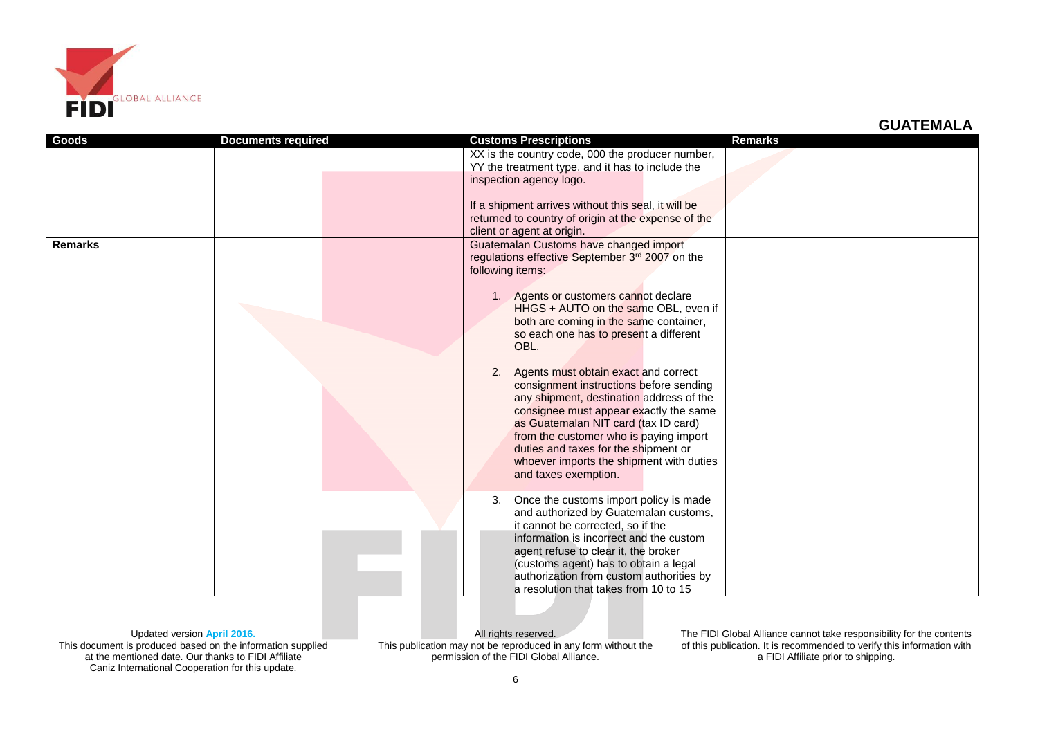

| Goods          | <b>Documents required</b> | <b>Customs Prescriptions</b>                                                                                                                                                                                                                                                                                                                                                                                                                                                                                                                                                                                                                                         | <b>Remarks</b> |
|----------------|---------------------------|----------------------------------------------------------------------------------------------------------------------------------------------------------------------------------------------------------------------------------------------------------------------------------------------------------------------------------------------------------------------------------------------------------------------------------------------------------------------------------------------------------------------------------------------------------------------------------------------------------------------------------------------------------------------|----------------|
|                |                           | XX is the country code, 000 the producer number,<br>YY the treatment type, and it has to include the                                                                                                                                                                                                                                                                                                                                                                                                                                                                                                                                                                 |                |
|                |                           | inspection agency logo.                                                                                                                                                                                                                                                                                                                                                                                                                                                                                                                                                                                                                                              |                |
|                |                           | If a shipment arrives without this seal, it will be<br>returned to country of origin at the expense of the                                                                                                                                                                                                                                                                                                                                                                                                                                                                                                                                                           |                |
|                |                           | client or agent at origin.                                                                                                                                                                                                                                                                                                                                                                                                                                                                                                                                                                                                                                           |                |
| <b>Remarks</b> |                           | Guatemalan Customs have changed import<br>regulations effective September 3rd 2007 on the<br>following items:<br>Agents or customers cannot declare<br>HHGS + AUTO on the same OBL, even if<br>both are coming in the same container,<br>so each one has to present a different<br>OBL.<br>Agents must obtain exact and correct<br>2.<br>consignment instructions before sending<br>any shipment, destination address of the<br>consignee must appear exactly the same<br>as Guatemalan NIT card (tax ID card)<br>from the customer who is paying import<br>duties and taxes for the shipment or<br>whoever imports the shipment with duties<br>and taxes exemption. |                |
|                |                           | Once the customs import policy is made<br>3.<br>and authorized by Guatemalan customs,<br>it cannot be corrected, so if the                                                                                                                                                                                                                                                                                                                                                                                                                                                                                                                                           |                |
|                |                           | information is incorrect and the custom<br>agent refuse to clear it, the broker<br>(customs agent) has to obtain a legal<br>authorization from custom authorities by                                                                                                                                                                                                                                                                                                                                                                                                                                                                                                 |                |
|                |                           | a resolution that takes from 10 to 15                                                                                                                                                                                                                                                                                                                                                                                                                                                                                                                                                                                                                                |                |

Updated version **April 2016.** This document is produced based on the information supplied at the mentioned date. Our thanks to FIDI Affiliate Caniz International Cooperation for this update.

All rights reserved. This publication may not be reproduced in any form without the permission of the FIDI Global Alliance.